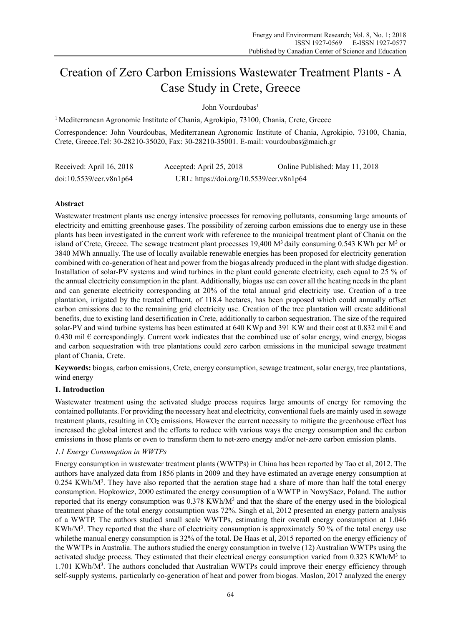# Creation of Zero Carbon Emissions Wastewater Treatment Plants - A Case Study in Crete, Greece

John Vourdoubas<sup>1</sup>

<sup>1</sup> Mediterranean Agronomic Institute of Chania, Agrokipio, 73100, Chania, Crete, Greece

Correspondence: John Vourdoubas, Mediterranean Agronomic Institute of Chania, Agrokipio, 73100, Chania, Crete, Greece.Tel: 30-28210-35020, Fax: 30-28210-35001. E-mail: vourdoubas@maich.gr

| Received: April 16, 2018 | Accepted: April 25, 2018                 | Online Published: May 11, 2018 |
|--------------------------|------------------------------------------|--------------------------------|
| doi:10.5539/eer.v8n1p64  | URL: https://doi.org/10.5539/eer.v8n1p64 |                                |

# **Abstract**

Wastewater treatment plants use energy intensive processes for removing pollutants, consuming large amounts of electricity and emitting greenhouse gases. The possibility of zeroing carbon emissions due to energy use in these plants has been investigated in the current work with reference to the municipal treatment plant of Chania on the island of Crete, Greece. The sewage treatment plant processes 19,400  $M<sup>3</sup>$  daily consuming 0.543 KWh per  $M<sup>3</sup>$  or 3840 MWh annually. The use of locally available renewable energies has been proposed for electricity generation combined with co-generation of heat and power from the biogas already produced in the plant with sludge digestion. Installation of solar-PV systems and wind turbines in the plant could generate electricity, each equal to 25 % of the annual electricity consumption in the plant. Additionally, biogas use can cover all the heating needs in the plant and can generate electricity corresponding at 20% of the total annual grid electricity use. Creation of a tree plantation, irrigated by the treated effluent, of 118.4 hectares, has been proposed which could annually offset carbon emissions due to the remaining grid electricity use. Creation of the tree plantation will create additional benefits, due to existing land desertification in Crete, additionally to carbon sequestration. The size of the required solar-PV and wind turbine systems has been estimated at 640 KWp and 391 KW and their cost at 0.832 mil  $\epsilon$  and 0.430 mil  $\epsilon$  correspondingly. Current work indicates that the combined use of solar energy, wind energy, biogas and carbon sequestration with tree plantations could zero carbon emissions in the municipal sewage treatment plant of Chania, Crete.

**Keywords:** biogas, carbon emissions, Crete, energy consumption, sewage treatment, solar energy, tree plantations, wind energy

# **1. Introduction**

Wastewater treatment using the activated sludge process requires large amounts of energy for removing the contained pollutants. For providing the necessary heat and electricity, conventional fuels are mainly used in sewage treatment plants, resulting in CO<sub>2</sub> emissions. However the current necessity to mitigate the greenhouse effect has increased the global interest and the efforts to reduce with various ways the energy consumption and the carbon emissions in those plants or even to transform them to net-zero energy and/or net-zero carbon emission plants.

# *1.1 Energy Consumption in WWTPs*

Energy consumption in wastewater treatment plants (WWTPs) in China has been reported by Tao et al, 2012. The authors have analyzed data from 1856 plants in 2009 and they have estimated an average energy consumption at  $0.254$  KWh/M<sup>3</sup>. They have also reported that the aeration stage had a share of more than half the total energy consumption. Hopkowicz, 2000 estimated the energy consumption of a WWTP in NowySacz, Poland. The author reported that its energy consumption was  $0.378 \text{ KWh/M}^3$  and that the share of the energy used in the biological treatment phase of the total energy consumption was 72%. Singh et al, 2012 presented an energy pattern analysis of a WWTP. The authors studied small scale WWTPs, estimating their overall energy consumption at 1.046 KWh/M<sup>3</sup>. They reported that the share of electricity consumption is approximately 50 % of the total energy use whilethe manual energy consumption is 32% of the total. De Haas et al, 2015 reported on the energy efficiency of the WWTPs in Australia. The authors studied the energy consumption in twelve (12) Australian WWTPs using the activated sludge process. They estimated that their electrical energy consumption varied from 0.323 KWh/M<sup>3</sup> to 1.701 KWh/M<sup>3</sup>. The authors concluded that Australian WWTPs could improve their energy efficiency through self-supply systems, particularly co-generation of heat and power from biogas. Maslon, 2017 analyzed the energy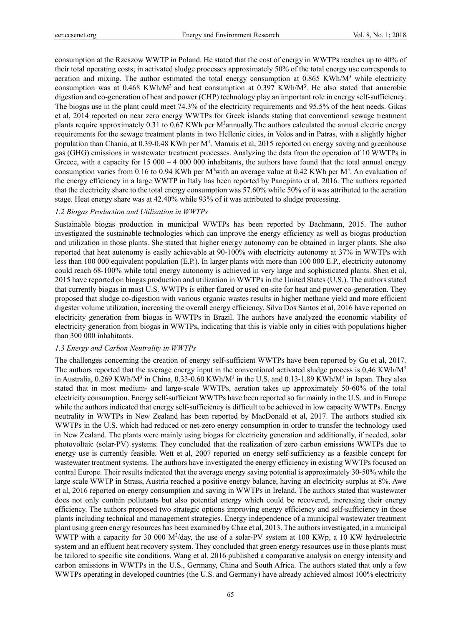consumption at the Rzeszow WWTP in Poland. He stated that the cost of energy in WWTPs reaches up to 40% of their total operating costs; in activated sludge processes approximately 50% of the total energy use corresponds to aeration and mixing. The author estimated the total energy consumption at 0.865 KWh/M<sup>3</sup> while electricity consumption was at 0.468 KWh/M<sup>3</sup> and heat consumption at 0.397 KWh/M<sup>3</sup>. He also stated that anaerobic digestion and co-generation of heat and power (CHP) technology play an important role in energy self-sufficiency. The biogas use in the plant could meet 74.3% of the electricity requirements and 95.5% of the heat needs. Gikas et al, 2014 reported on near zero energy WWTPs for Greek islands stating that conventional sewage treatment plants require approximately 0.31 to 0.67 KWh per M<sup>3</sup>annually. The authors calculated the annual electric energy requirements for the sewage treatment plants in two Hellenic cities, in Volos and in Patras, with a slightly higher population than Chania, at 0.39-0.48 KWh per M<sup>3</sup>. Mamais et al, 2015 reported on energy saving and greenhouse gas (GHG) emissions in wastewater treatment processes. Analyzing the data from the operation of 10 WWTPs in Greece, with a capacity for  $15\,000 - 4\,000\,000$  inhabitants, the authors have found that the total annual energy consumption varies from 0.16 to 0.94 KWh per  $M^3$  with an average value at 0.42 KWh per  $M^3$ . An evaluation of the energy efficiency in a large WWTP in Italy has been reported by Panepinto et al, 2016. The authors reported that the electricity share to the total energy consumption was 57.60% while 50% of it was attributed to the aeration stage. Heat energy share was at 42.40% while 93% of it was attributed to sludge processing.

# *1.2 Biogas Production and Utilization in WWTPs*

Sustainable biogas production in municipal WWTPs has been reported by Bachmann, 2015. The author investigated the sustainable technologies which can improve the energy efficiency as well as biogas production and utilization in those plants. She stated that higher energy autonomy can be obtained in larger plants. She also reported that heat autonomy is easily achievable at 90-100% with electricity autonomy at 37% in WWTPs with less than 100 000 equivalent population (E.P.). In larger plants with more than 100 000 E.P., electricity autonomy could reach 68-100% while total energy autonomy is achieved in very large and sophisticated plants. Shen et al, 2015 have reported on biogas production and utilization in WWTPs in the United States (U.S.). The authors stated that currently biogas in most U.S. WWTPs is either flared or used on-site for heat and power co-generation. They proposed that sludge co-digestion with various organic wastes results in higher methane yield and more efficient digester volume utilization, increasing the overall energy efficiency. Silva Dos Santos et al, 2016 have reported on electricity generation from biogas in WWTPs in Brazil. The authors have analyzed the economic viability of electricity generation from biogas in WWTPs, indicating that this is viable only in cities with populations higher than 300 000 inhabitants.

# *1.3 Energy and Carbon Neutrality in WWTPs*

The challenges concerning the creation of energy self-sufficient WWTPs have been reported by Gu et al, 2017. The authors reported that the average energy input in the conventional activated sludge process is 0,46 KWh/M<sup>3</sup> in Australia, 0.269 KWh/M<sup>3</sup> in China, 0.33-0.60 KWh/M<sup>3</sup> in the U.S. and 0.13-1.89 KWh/M<sup>3</sup> in Japan. They also stated that in most medium- and large-scale WWTPs, aeration takes up approximately 50-60% of the total electricity consumption. Energy self-sufficient WWTPs have been reported so far mainly in the U.S. and in Europe while the authors indicated that energy self-sufficiency is difficult to be achieved in low capacity WWTPs. Energy neutrality in WWTPs in New Zealand has been reported by MacDonald et al, 2017. The authors studied six WWTPs in the U.S. which had reduced or net-zero energy consumption in order to transfer the technology used in New Zealand. The plants were mainly using biogas for electricity generation and additionally, if needed, solar photovoltaic (solar-PV) systems. They concluded that the realization of zero carbon emissions WWTPs due to energy use is currently feasible. Wett et al, 2007 reported on energy self-sufficiency as a feasible concept for wastewater treatment systems. The authors have investigated the energy efficiency in existing WWTPs focused on central Europe. Their results indicated that the average energy saving potential is approximately 30-50% while the large scale WWTP in Strass, Austria reached a positive energy balance, having an electricity surplus at 8%. Awe et al, 2016 reported on energy consumption and saving in WWTPs in Ireland. The authors stated that wastewater does not only contain pollutants but also potential energy which could be recovered, increasing their energy efficiency. The authors proposed two strategic options improving energy efficiency and self-sufficiency in those plants including technical and management strategies. Energy independence of a municipal wastewater treatment plant using green energy resources has been examined by Chae et al, 2013. The authors investigated, in a municipal WWTP with a capacity for 30 000 M<sup>3</sup>/day, the use of a solar-PV system at 100 KWp, a 10 KW hydroelectric system and an effluent heat recovery system. They concluded that green energy resources use in those plants must be tailored to specific site conditions. Wang et al, 2016 published a comparative analysis on energy intensity and carbon emissions in WWTPs in the U.S., Germany, China and South Africa. The authors stated that only a few WWTPs operating in developed countries (the U.S. and Germany) have already achieved almost 100% electricity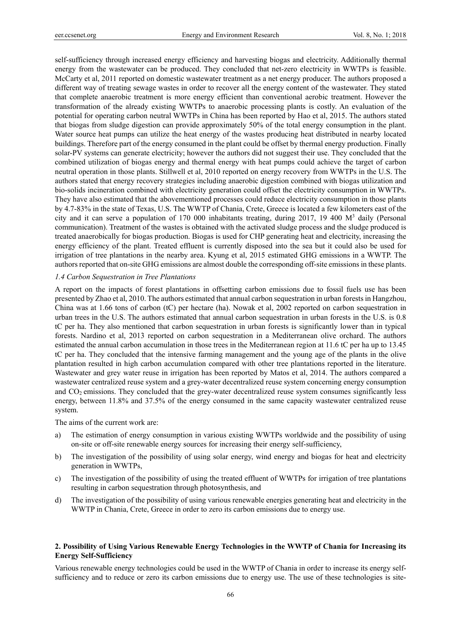self-sufficiency through increased energy efficiency and harvesting biogas and electricity. Additionally thermal energy from the wastewater can be produced. They concluded that net-zero electricity in WWTPs is feasible. McCarty et al, 2011 reported on domestic wastewater treatment as a net energy producer. The authors proposed a different way of treating sewage wastes in order to recover all the energy content of the wastewater. They stated that complete anaerobic treatment is more energy efficient than conventional aerobic treatment. However the transformation of the already existing WWTPs to anaerobic processing plants is costly. An evaluation of the potential for operating carbon neutral WWTPs in China has been reported by Hao et al, 2015. The authors stated that biogas from sludge digestion can provide approximately 50% of the total energy consumption in the plant. Water source heat pumps can utilize the heat energy of the wastes producing heat distributed in nearby located buildings. Therefore part of the energy consumed in the plant could be offset by thermal energy production. Finally solar-PV systems can generate electricity; however the authors did not suggest their use. They concluded that the combined utilization of biogas energy and thermal energy with heat pumps could achieve the target of carbon neutral operation in those plants. Stillwell et al, 2010 reported on energy recovery from WWTPs in the U.S. The authors stated that energy recovery strategies including anaerobic digestion combined with biogas utilization and bio-solids incineration combined with electricity generation could offset the electricity consumption in WWTPs. They have also estimated that the abovementioned processes could reduce electricity consumption in those plants by 4.7-83% in the state of Texas, U.S. The WWTP of Chania, Crete, Greece is located a few kilometers east of the city and it can serve a population of 170 000 inhabitants treating, during 2017, 19 400 M<sup>3</sup> daily (Personal communication). Treatment of the wastes is obtained with the activated sludge process and the sludge produced is treated anaerobically for biogas production. Biogas is used for CHP generating heat and electricity, increasing the energy efficiency of the plant. Treated effluent is currently disposed into the sea but it could also be used for irrigation of tree plantations in the nearby area. Kyung et al, 2015 estimated GHG emissions in a WWTP. The authors reported that on-site GHG emissions are almost double the corresponding off-site emissions in these plants.

#### *1.4 Carbon Sequestration in Tree Plantations*

A report on the impacts of forest plantations in offsetting carbon emissions due to fossil fuels use has been presented by Zhao et al, 2010. The authors estimated that annual carbon sequestration in urban forests in Hangzhou, China was at 1.66 tons of carbon (tC) per hectare (ha). Nowak et al, 2002 reported on carbon sequestration in urban trees in the U.S. The authors estimated that annual carbon sequestration in urban forests in the U.S. is 0.8 tC per ha. They also mentioned that carbon sequestration in urban forests is significantly lower than in typical forests. Nardino et al, 2013 reported on carbon sequestration in a Mediterranean olive orchard. The authors estimated the annual carbon accumulation in those trees in the Mediterranean region at 11.6 tC per ha up to 13.45 tC per ha. They concluded that the intensive farming management and the young age of the plants in the olive plantation resulted in high carbon accumulation compared with other tree plantations reported in the literature. Wastewater and grey water reuse in irrigation has been reported by Matos et al, 2014. The authors compared a wastewater centralized reuse system and a grey-water decentralized reuse system concerning energy consumption and CO2 emissions. They concluded that the grey-water decentralized reuse system consumes significantly less energy, between 11.8% and 37.5% of the energy consumed in the same capacity wastewater centralized reuse system.

The aims of the current work are:

- a) The estimation of energy consumption in various existing WWTPs worldwide and the possibility of using on-site or off-site renewable energy sources for increasing their energy self-sufficiency,
- b) The investigation of the possibility of using solar energy, wind energy and biogas for heat and electricity generation in WWTPs,
- c) The investigation of the possibility of using the treated effluent of WWTPs for irrigation of tree plantations resulting in carbon sequestration through photosynthesis, and
- d) The investigation of the possibility of using various renewable energies generating heat and electricity in the WWTP in Chania, Crete, Greece in order to zero its carbon emissions due to energy use.

# **2. Possibility of Using Various Renewable Energy Technologies in the WWTP of Chania for Increasing its Energy Self-Sufficiency**

Various renewable energy technologies could be used in the WWTP of Chania in order to increase its energy selfsufficiency and to reduce or zero its carbon emissions due to energy use. The use of these technologies is site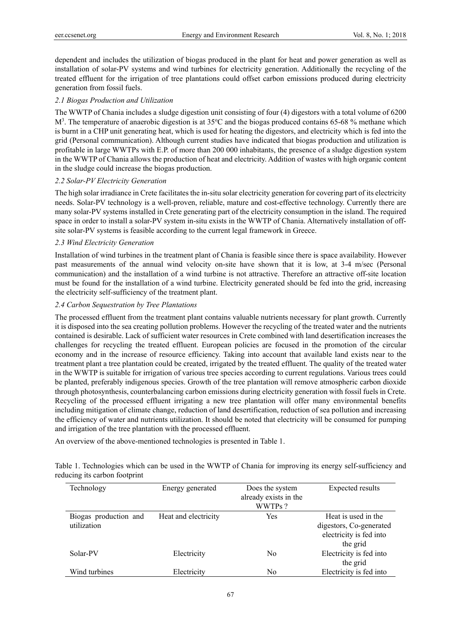dependent and includes the utilization of biogas produced in the plant for heat and power generation as well as installation of solar-PV systems and wind turbines for electricity generation. Additionally the recycling of the treated effluent for the irrigation of tree plantations could offset carbon emissions produced during electricity generation from fossil fuels.

# *2.1 Biogas Production and Utilization*

The WWTP of Chania includes a sludge digestion unit consisting of four (4) digestors with a total volume of 6200  $M^3$ . The temperature of anaerobic digestion is at 35 $^{\circ}$ C and the biogas produced contains 65-68 % methane which is burnt in a CHP unit generating heat, which is used for heating the digestors, and electricity which is fed into the grid (Personal communication). Although current studies have indicated that biogas production and utilization is profitable in large WWTPs with E.P. of more than 200 000 inhabitants, the presence of a sludge digestion system in the WWTP of Chania allows the production of heat and electricity. Addition of wastes with high organic content in the sludge could increase the biogas production.

# *2.2 Solar-PV Electricity Generation*

The high solar irradiance in Crete facilitates the in-situ solar electricity generation for covering part of its electricity needs. Solar-PV technology is a well-proven, reliable, mature and cost-effective technology. Currently there are many solar-PV systems installed in Crete generating part of the electricity consumption in the island. The required space in order to install a solar-PV system in-situ exists in the WWTP of Chania. Alternatively installation of offsite solar-PV systems is feasible according to the current legal framework in Greece.

# *2.3 Wind Electricity Generation*

Installation of wind turbines in the treatment plant of Chania is feasible since there is space availability. However past measurements of the annual wind velocity on-site have shown that it is low, at 3-4 m/sec (Personal communication) and the installation of a wind turbine is not attractive. Therefore an attractive off-site location must be found for the installation of a wind turbine. Electricity generated should be fed into the grid, increasing the electricity self-sufficiency of the treatment plant.

# *2.4 Carbon Sequestration by Tree Plantations*

The processed effluent from the treatment plant contains valuable nutrients necessary for plant growth. Currently it is disposed into the sea creating pollution problems. However the recycling of the treated water and the nutrients contained is desirable. Lack of sufficient water resources in Crete combined with land desertification increases the challenges for recycling the treated effluent. European policies are focused in the promotion of the circular economy and in the increase of resource efficiency. Taking into account that available land exists near to the treatment plant a tree plantation could be created, irrigated by the treated effluent. The quality of the treated water in the WWTP is suitable for irrigation of various tree species according to current regulations. Various trees could be planted, preferably indigenous species. Growth of the tree plantation will remove atmospheric carbon dioxide through photosynthesis, counterbalancing carbon emissions during electricity generation with fossil fuels in Crete. Recycling of the processed effluent irrigating a new tree plantation will offer many environmental benefits including mitigation of climate change, reduction of land desertification, reduction of sea pollution and increasing the efficiency of water and nutrients utilization. It should be noted that electricity will be consumed for pumping and irrigation of the tree plantation with the processed effluent.

An overview of the above-mentioned technologies is presented in Table 1.

| Table 1. Technologies which can be used in the WWTP of Chania for improving its energy self-sufficiency and |  |  |  |  |  |
|-------------------------------------------------------------------------------------------------------------|--|--|--|--|--|
| reducing its carbon footprint                                                                               |  |  |  |  |  |

| Technology            | Energy generated     | Does the system<br>already exists in the<br>WWTPs? | Expected results        |
|-----------------------|----------------------|----------------------------------------------------|-------------------------|
| Biogas production and | Heat and electricity | Yes                                                | Heat is used in the     |
| utilization           |                      |                                                    | digestors, Co-generated |
|                       |                      |                                                    | electricity is fed into |
|                       |                      |                                                    | the grid                |
| Solar-PV              | Electricity          | No                                                 | Electricity is fed into |
|                       |                      |                                                    | the grid                |
| Wind turbines         | Electricity          | No                                                 | Electricity is fed into |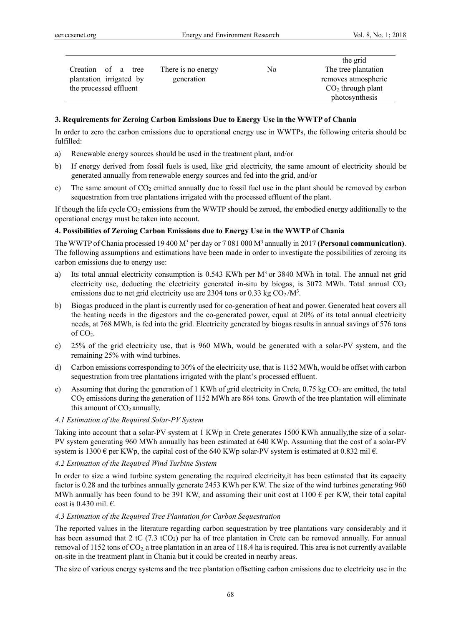| Creation of a tree      | There is no energy | N <sub>0</sub> | the grid<br>The tree plantation |
|-------------------------|--------------------|----------------|---------------------------------|
| plantation irrigated by | generation         |                | removes atmospheric             |
| the processed effluent  |                    |                | $CO2$ through plant             |
|                         |                    |                | photosynthesis                  |

## **3. Requirements for Zeroing Carbon Emissions Due to Energy Use in the WWTP of Chania**

In order to zero the carbon emissions due to operational energy use in WWTPs, the following criteria should be fulfilled:

- a) Renewable energy sources should be used in the treatment plant, and/or
- b) If energy derived from fossil fuels is used, like grid electricity, the same amount of electricity should be generated annually from renewable energy sources and fed into the grid, and/or
- c) The same amount of  $CO<sub>2</sub>$  emitted annually due to fossil fuel use in the plant should be removed by carbon sequestration from tree plantations irrigated with the processed effluent of the plant.

If though the life cycle  $CO<sub>2</sub>$  emissions from the WWTP should be zeroed, the embodied energy additionally to the operational energy must be taken into account.

## **4. Possibilities of Zeroing Carbon Emissions due to Energy Use in the WWTP of Chania**

The WWTP of Chania processed 19 400 M<sup>3</sup> per day or 7 081 000 M<sup>3</sup> annually in 2017 **(Personal communication)**. The following assumptions and estimations have been made in order to investigate the possibilities of zeroing its carbon emissions due to energy use:

- a) Its total annual electricity consumption is 0.543 KWh per M<sup>3</sup> or 3840 MWh in total. The annual net grid electricity use, deducting the electricity generated in-situ by biogas, is  $3072$  MWh. Total annual  $CO<sub>2</sub>$ emissions due to net grid electricity use are 2304 tons or 0.33 kg  $CO<sub>2</sub>/M<sup>3</sup>$ .
- b) Biogas produced in the plant is currently used for co-generation of heat and power. Generated heat covers all the heating needs in the digestors and the co-generated power, equal at 20% of its total annual electricity needs, at 768 MWh, is fed into the grid. Electricity generated by biogas results in annual savings of 576 tons of CO2.
- c) 25% of the grid electricity use, that is 960 MWh, would be generated with a solar-PV system, and the remaining 25% with wind turbines.
- d) Carbon emissions corresponding to 30% of the electricity use, that is 1152 MWh, would be offset with carbon sequestration from tree plantations irrigated with the plant's processed effluent.
- e) Assuming that during the generation of 1 KWh of grid electricity in Crete,  $0.75$  kg CO<sub>2</sub> are emitted, the total CO<sub>2</sub> emissions during the generation of 1152 MWh are 864 tons. Growth of the tree plantation will eliminate this amount of  $CO<sub>2</sub>$  annually.

## *4.1 Estimation of the Required Solar-PV System*

Taking into account that a solar-PV system at 1 KWp in Crete generates 1500 KWh annually,the size of a solar-PV system generating 960 MWh annually has been estimated at 640 KWp. Assuming that the cost of a solar-PV system is 1300 € per KWp, the capital cost of the 640 KWp solar-PV system is estimated at 0.832 mil  $\epsilon$ .

# *4.2 Estimation of the Required Wind Turbine System*

In order to size a wind turbine system generating the required electricity,it has been estimated that its capacity factor is 0.28 and the turbines annually generate 2453 KWh per KW. The size of the wind turbines generating 960 MWh annually has been found to be 391 KW, and assuming their unit cost at 1100  $\epsilon$  per KW, their total capital cost is 0.430 mil. €.

#### *4.3 Estimation of the Required Tree Plantation for Carbon Sequestration*

The reported values in the literature regarding carbon sequestration by tree plantations vary considerably and it has been assumed that 2 tC (7.3 tCO<sub>2</sub>) per ha of tree plantation in Crete can be removed annually. For annual removal of 1152 tons of CO2, a tree plantation in an area of 118.4 ha is required. This area is not currently available on-site in the treatment plant in Chania but it could be created in nearby areas.

The size of various energy systems and the tree plantation offsetting carbon emissions due to electricity use in the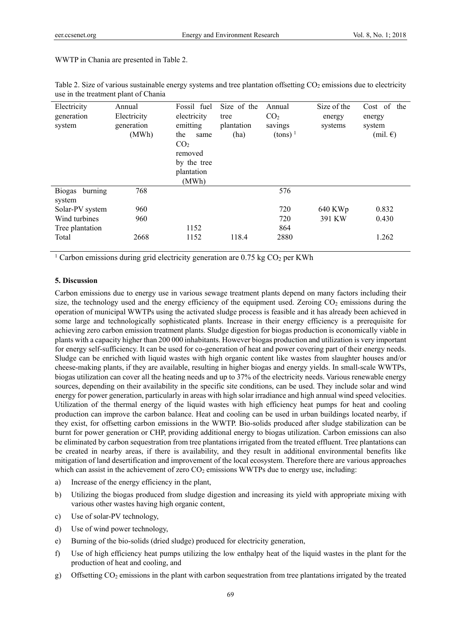WWTP in Chania are presented in Table 2.

| generation<br>CO <sub>2</sub><br>Electricity<br>electricity<br>tree<br>energy<br>energy |  |
|-----------------------------------------------------------------------------------------|--|
| emitting<br>generation<br>plantation<br>system<br>savings<br>systems<br>system          |  |
| (MWh)<br>$(\text{tons})^1$<br>(ha)<br>$(mil. \mathcal{E})$<br>the<br>same               |  |
| CO <sub>2</sub>                                                                         |  |
| removed                                                                                 |  |
| by the tree                                                                             |  |
| plantation                                                                              |  |
| (MWh)                                                                                   |  |
| 768<br>576<br>Biogas<br>burning                                                         |  |
| system                                                                                  |  |
| 720<br>0.832<br>960<br>640 KWp<br>Solar-PV system                                       |  |
| Wind turbines<br>720<br>391 KW<br>960<br>0.430                                          |  |
| 1152<br>864<br>Tree plantation                                                          |  |
| 118.4<br>2880<br>2668<br>1152<br>1.262<br>Total                                         |  |

Table 2. Size of various sustainable energy systems and tree plantation offsetting CO<sub>2</sub> emissions due to electricity use in the treatment plant of Chania

<sup>1</sup> Carbon emissions during grid electricity generation are  $0.75 \text{ kg CO}_2$  per KWh

## **5. Discussion**

Carbon emissions due to energy use in various sewage treatment plants depend on many factors including their size, the technology used and the energy efficiency of the equipment used. Zeroing  $CO<sub>2</sub>$  emissions during the operation of municipal WWTPs using the activated sludge process is feasible and it has already been achieved in some large and technologically sophisticated plants. Increase in their energy efficiency is a prerequisite for achieving zero carbon emission treatment plants. Sludge digestion for biogas production is economically viable in plants with a capacity higher than 200 000 inhabitants. However biogas production and utilization is very important for energy self-sufficiency. It can be used for co-generation of heat and power covering part of their energy needs. Sludge can be enriched with liquid wastes with high organic content like wastes from slaughter houses and/or cheese-making plants, if they are available, resulting in higher biogas and energy yields. In small-scale WWTPs, biogas utilization can cover all the heating needs and up to 37% of the electricity needs. Various renewable energy sources, depending on their availability in the specific site conditions, can be used. They include solar and wind energy for power generation, particularly in areas with high solar irradiance and high annual wind speed velocities. Utilization of the thermal energy of the liquid wastes with high efficiency heat pumps for heat and cooling production can improve the carbon balance. Heat and cooling can be used in urban buildings located nearby, if they exist, for offsetting carbon emissions in the WWTP. Bio-solids produced after sludge stabilization can be burnt for power generation or CHP, providing additional energy to biogas utilization. Carbon emissions can also be eliminated by carbon sequestration from tree plantations irrigated from the treated effluent. Tree plantations can be created in nearby areas, if there is availability, and they result in additional environmental benefits like mitigation of land desertification and improvement of the local ecosystem. Therefore there are various approaches which can assist in the achievement of zero  $CO<sub>2</sub>$  emissions WWTPs due to energy use, including:

- a) Increase of the energy efficiency in the plant,
- b) Utilizing the biogas produced from sludge digestion and increasing its yield with appropriate mixing with various other wastes having high organic content,
- c) Use of solar-PV technology,
- d) Use of wind power technology,
- e) Burning of the bio-solids (dried sludge) produced for electricity generation,
- f) Use of high efficiency heat pumps utilizing the low enthalpy heat of the liquid wastes in the plant for the production of heat and cooling, and
- g) Offsetting CO2 emissions in the plant with carbon sequestration from tree plantations irrigated by the treated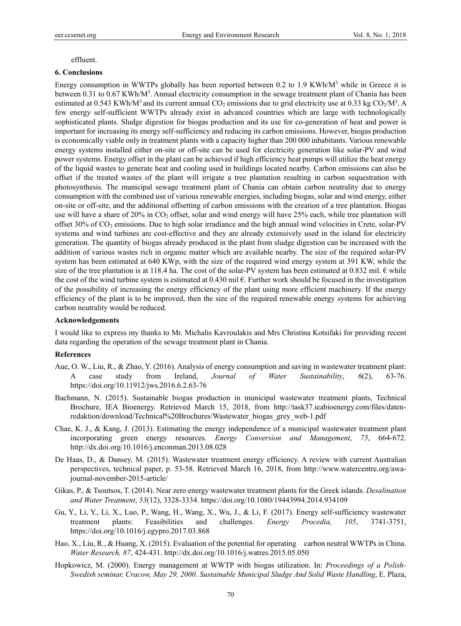#### effluent.

#### **6. Conclusions**

Energy consumption in WWTPs globally has been reported between 0.2 to 1.9 KWh/ $M<sup>3</sup>$  while in Greece it is between 0.31 to 0.67 KWh/M<sup>3</sup>. Annual electricity consumption in the sewage treatment plant of Chania has been estimated at 0.543 KWh/M<sup>3</sup> and its current annual CO<sub>2</sub> emissions due to grid electricity use at 0.33 kg CO<sub>2</sub>/M<sup>3</sup>. A few energy self-sufficient WWTPs already exist in advanced countries which are large with technologically sophisticated plants. Sludge digestion for biogas production and its use for co-generation of heat and power is important for increasing its energy self-sufficiency and reducing its carbon emissions. However, biogas production is economically viable only in treatment plants with a capacity higher than 200 000 inhabitants. Various renewable energy systems installed either on-site or off-site can be used for electricity generation like solar-PV and wind power systems. Energy offset in the plant can be achieved if high efficiency heat pumps will utilize the heat energy of the liquid wastes to generate heat and cooling used in buildings located nearby. Carbon emissions can also be offset if the treated wastes of the plant will irrigate a tree plantation resulting in carbon sequestration with photosynthesis. The municipal sewage treatment plant of Chania can obtain carbon neutrality due to energy consumption with the combined use of various renewable energies, including biogas, solar and wind energy, either on-site or off-site, and the additional offsetting of carbon emissions with the creation of a tree plantation. Biogas use will have a share of 20% in CO<sub>2</sub> offset, solar and wind energy will have 25% each, while tree plantation will offset 30% of CO2 emissions. Due to high solar irradiance and the high annual wind velocities in Crete, solar-PV systems and wind turbines are cost-effective and they are already extensively used in the island for electricity generation. The quantity of biogas already produced in the plant from sludge digestion can be increased with the addition of various wastes rich in organic matter which are available nearby. The size of the required solar-PV system has been estimated at 640 KWp, with the size of the required wind energy system at 391 KW, while the size of the tree plantation is at 118.4 ha. The cost of the solar-PV system has been estimated at 0.832 mil.  $\epsilon$  while the cost of the wind turbine system is estimated at 0.430 mil  $\epsilon$ . Further work should be focused in the investigation of the possibility of increasing the energy efficiency of the plant using more efficient machinery. If the energy efficiency of the plant is to be improved, then the size of the required renewable energy systems for achieving carbon neutrality would be reduced.

#### **Acknowledgements**

I would like to express my thanks to Mr. Michalis Kavroulakis and Mrs Christina Kotsifaki for providing recent data regarding the operation of the sewage treatment plant in Chania.

#### **References**

- Aue, O. W., Liu, R., & Zhao, Y. (2016). Analysis of energy consumption and saving in wastewater treatment plant: A case study from Ireland, *Journal of Water Sustainability*, *6*(2), 63-76. https://doi.org/10.11912/jws.2016.6.2.63-76
- Bachmann, N. (2015). Sustainable biogas production in municipal wastewater treatment plants, Technical Brochure, IEA Bioenergy. Retrieved March 15, 2018, from http://task37.ieabioenergy.com/files/datenredaktion/download/Technical%20Brochures/Wastewater\_biogas\_grey\_web-1.pdf
- Chae, K. J., & Kang, J. (2013). Estimating the energy independence of a municipal wastewater treatment plant incorporating green energy resources. *Energy Conversion and Management*, *75*, 664-672. http://dx.doi.org/10.1016/j.enconman.2013.08.028
- De Haas, D., & Dansey, M. (2015). Wastewater treatment energy efficiency. A review with current Australian perspectives, technical paper, p. 53-58. Retrieved March 16, 2018, from http://www.watercentre.org/awajournal-november-2015-article/
- Gikas, P., & Tsoutsos, T. (2014). Near zero energy wastewater treatment plants for the Greek islands. *Desalination and Water Treatment*, *53*(12), 3328-3334. https://doi.org/10.1080/19443994.2014.934109
- Gu, Y., Li, Y., Li, X., Luo, P., Wang, H., Wang, X., Wu, J., & Li, F. (2017). Energy self-sufficiency wastewater treatment plants: Feasibilities and challenges. *Energy Procedia, 105*, 3741-3751, https://doi.org/10.1016/j.egypro.2017.03.868
- Hao, X., Liu, R., & Huang, X. (2015). Evaluation of the potential for operating carbon neutral WWTPs in China. *Water Research, 87*, 424-431. http://dx.doi.org/10.1016/j.watres.2015.05.050
- Hopkowicz, M. (2000). Energy management at WWTP with biogas utilization. In: *Proceedings of a Polish-Swedish seminar, Cracow, May 29, 2000. Sustainable Municipal Sludge And Solid Waste Handling*, E. Plaza,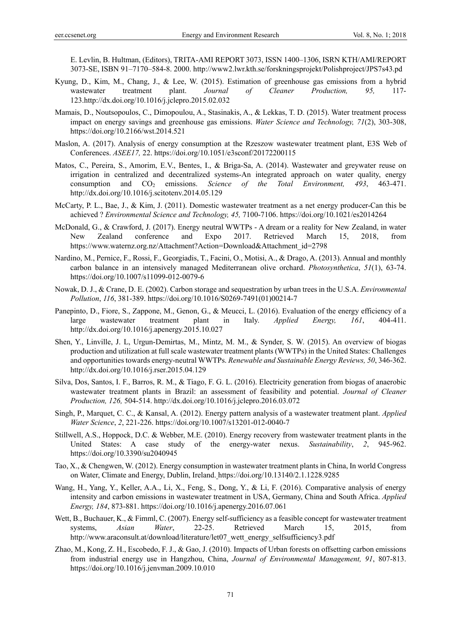E. Levlin, B. Hultman, (Editors), TRITA-AMI REPORT 3073, ISSN 1400–1306, ISRN KTH/AMI/REPORT 3073-SE, ISBN 91–7170–584-8. 2000. http://www2.lwr.kth.se/forskningsprojekt/Polishproject/JPS7s43.pd

- Kyung, D., Kim, M., Chang, J., & Lee, W. (2015). Estimation of greenhouse gas emissions from a hybrid wastewater treatment plant. *Journal of Cleaner Production, 95,* 117- 123.http://dx.doi.org/10.1016/j.jclepro.2015.02.032
- Mamais, D., Noutsopoulos, C., Dimopoulou, A., Stasinakis, A., & Lekkas, T. D. (2015). Water treatment process impact on energy savings and greenhouse gas emissions. *Water Science and Technology, 71*(2), 303-308, https://doi.org/10.2166/wst.2014.521
- Maslon, A. (2017). Analysis of energy consumption at the Rzeszow wastewater treatment plant, E3S Web of Conferences. *ASEE17,* 22. https://doi.org/10.1051/e3sconf/20172200115
- Matos, C., Pereira, S., Amorim, E.V., Bentes, I., & Briga-Sa, A. (2014). Wastewater and greywater reuse on irrigation in centralized and decentralized systems-An integrated approach on water quality, energy consumption and CO2 emissions. *Science of the Total Environment, 493*, 463-471. http://dx.doi.org/10.1016/j.scitotenv.2014.05.129
- McCarty, P. L., Bae, J., & Kim, J. (2011). Domestic wastewater treatment as a net energy producer-Can this be achieved ? *Environmental Science and Technology, 45,* 7100-7106. https://doi.org/10.1021/es2014264
- McDonald, G., & Crawford, J. (2017). Energy neutral WWTPs A dream or a reality for New Zealand, in water New Zealand conference and Expo 2017. Retrieved March 15, 2018, from https://www.waternz.org.nz/Attachment?Action=Download&Attachment\_id=2798
- Nardino, M., Pernice, F., Rossi, F., Georgiadis, T., Facini, O., Motisi, A., & Drago, A. (2013). Annual and monthly carbon balance in an intensively managed Mediterranean olive orchard. *Photosynthetica*, *51*(1), 63-74. https://doi.org/10.1007/s11099-012-0079-6
- Nowak, D. J., & Crane, D. E. (2002). Carbon storage and sequestration by urban trees in the U.S.A. *Environmental Pollution*, *116*, 381-389. https://doi.org/10.1016/S0269-7491(01)00214-7
- Panepinto, D., Fiore, S., Zappone, M., Genon, G., & Meucci, L. (2016). Evaluation of the energy efficiency of a large wastewater treatment plant in Italy. *Applied Energy, 161*, 404-411. http://dx.doi.org/10.1016/j.apenergy.2015.10.027
- Shen, Y., Linville, J. L, Urgun-Demirtas, M., Mintz, M. M., & Synder, S. W. (2015). An overview of biogas production and utilization at full scale wastewater treatment plants (WWTPs) in the United States: Challenges and opportunities towards energy-neutral WWTPs. *Renewable and Sustainable Energy Reviews, 50*, 346-362. http://dx.doi.org/10.1016/j.rser.2015.04.129
- Silva, Dos, Santos, I. F., Barros, R. M., & Tiago, F. G. L. (2016). Electricity generation from biogas of anaerobic wastewater treatment plants in Brazil: an assessment of feasibility and potential. *Journal of Cleaner Production, 126,* 504-514. http://dx.doi.org/10.1016/j.jclepro.2016.03.072
- Singh, P., Marquet, C. C., & Kansal, A. (2012). Energy pattern analysis of a wastewater treatment plant. *Applied Water Science*, *2*, 221-226. https://doi.org/10.1007/s13201-012-0040-7
- Stillwell, A.S., Hoppock, D.C. & Webber, M.E. (2010). Energy recovery from wastewater treatment plants in the United States: A case study of the energy-water nexus. *Sustainability*, *2*, 945-962. https://doi.org/10.3390/su2040945
- Tao, X., & Chengwen, W. (2012). Energy consumption in wastewater treatment plants in China, In world Congress on Water, Climate and Energy, Dublin, Ireland. https://doi.org/10.13140/2.1.1228.9285
- Wang, H., Yang, Y., Keller, A.A., Li, X., Feng, S., Dong, Y., & Li, F. (2016). Comparative analysis of energy intensity and carbon emissions in wastewater treatment in USA, Germany, China and South Africa. *Applied Energy, 184*, 873-881. https://doi.org/10.1016/j.apenergy.2016.07.061
- Wett, B., Buchauer, K., & Fimml, C. (2007). Energy self-sufficiency as a feasible concept for wastewater treatment systems, *Asian Water*, 22-25. Retrieved March 15, 2015, from http://www.araconsult.at/download/literature/let07\_wett\_energy\_selfsufficiency3.pdf
- Zhao, M., Kong, Z. H., Escobedo, F. J., & Gao, J. (2010). Impacts of Urban forests on offsetting carbon emissions from industrial energy use in Hangzhou, China, *Journal of Environmental Management, 91*, 807-813. https://doi.org/10.1016/j.jenvman.2009.10.010